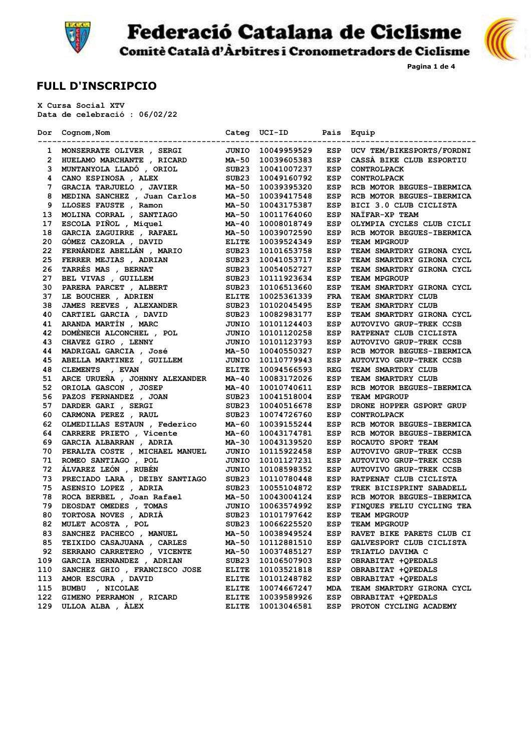

**Federació Catalana de Ciclisme** 



**Pagina 1 de 4**

Comitè Català d'Àrbitres i Cronometradors de Ciclisme

## **FULL D'INSCRIPCIO**

 **X Cursa Social XTV Data de celebració : 06/02/22**

|     | Dor Cognom, Nom<br>-------------------------------- | Categ             | UCI-ID<br>-------- | Pais       | Equip                            |
|-----|-----------------------------------------------------|-------------------|--------------------|------------|----------------------------------|
|     | 1 MONSERRATE OLIVER, SERGI                          | JUNIO             | 10049959529        | <b>ESP</b> | UCV TEM/BIKESPORTS/FORDNI        |
| 2   | HUELAMO MARCHANTE , RICARD                          | MA-50             | 10039605383        | ESP        | CASSA BIKE CLUB ESPORTIU         |
| з   | MUNTANYOLA LLADÓ , ORIOL                            | SUB23             | 10041007237        | ESP        | <b>CONTROLPACK</b>               |
| 4   | CANO ESPINOSA , ALEX                                | SUB <sub>23</sub> | 10049160792        | ESP        | <b>CONTROLPACK</b>               |
| 7   | GRACIA TARJUELO, JAVIER                             | <b>MA-50</b>      | 10039395320        | <b>ESP</b> | RCB MOTOR BEGUES-IBERMICA        |
| 8   | MEDINA SANCHEZ , Juan Carlos                        | MA-50             | 10039417548        | <b>ESP</b> | RCB MOTOR BEGUES-IBERMICA        |
| 9   | LLOSES FAUSTE , Ramon                               | MA-50             | 10043175387        | ESP        | BICI 3.0 CLUB CICLISTA           |
| 13  | MOLINA CORRAL , SANTIAGO                            | MA-50             | 10011764060        | ESP        | NATFAR-XP TEAM                   |
| 17  | ESCOLA PIÑOL , Miquel                               | MA-40             | 10008018749        | <b>ESP</b> | OLYMPIA CYCLES CLUB CICLI        |
| 18  | GARCIA ZAGUIRRE , RAFAEL                            | MA-50             | 10039072590        | <b>ESP</b> | RCB MOTOR BEGUES-IBERMICA        |
| 20  | GÓMEZ CAZORLA, DAVID                                | <b>ELITE</b>      | 10039524349        | ESP        | <b>TEAM MPGROUP</b>              |
| 22  | FERNÁNDEZ ABELLÁN , MARIO                           | SUB <sub>23</sub> | 10101653758        | ESP        | <b>TEAM SMARTDRY GIRONA CYCL</b> |
| 25  | FERRER MEJIAS , ADRIAN                              | SUB23             | 10041053717        | ESP        | TEAM SMARTDRY GIRONA CYCL        |
| 26  | TARRÉS MAS , BERNAT                                 | SUB <sub>23</sub> | 10054052727        | ESP        | TEAM SMARTDRY GIRONA CYCL        |
| 27  | BEL VIVAS , GUILLEM                                 | SUB <sub>23</sub> | 10111923634        | ESP        | <b>TEAM MPGROUP</b>              |
| 30  | PARERA PARCET, ALBERT                               | SUB <sub>23</sub> | 10106513660        | ESP        | <b>TEAM SMARTDRY GIRONA CYCL</b> |
| 37  | LE BOUCHER , ADRIEN                                 | <b>ELITE</b>      | 10025361339        | <b>FRA</b> | <b>TEAM SMARTDRY CLUB</b>        |
| 38  | <b>JAMES REEVES</b> , ALEXANDER                     | SUB <sub>23</sub> | 10102045495        | ESP        | TEAM SMARTDRY CLUB               |
| 40  | CARTIEL GARCIA , DAVID                              | SUB <sub>23</sub> | 10082983177        | ESP        | <b>TEAM SMARTDRY GIRONA CYCL</b> |
| 41  | ARANDA MARTÍN , MARC                                | JUNIO             | 10101124403        | <b>ESP</b> | <b>AUTOVIVO GRUP-TREK CCSB</b>   |
| 42  | DOMENECH ALCONCHEL , POL                            | JUNIO             | 10101120258        | ESP        | RATPENAT CLUB CICLISTA           |
| 43  | CHAVEZ GIRO , LENNY                                 | JUNIO             | 10101123793        | ESP        | <b>AUTOVIVO GRUP-TREK CCSB</b>   |
| 44  | <b>MADRIGAL GARCIA</b> , José                       | <b>MA-50</b>      | 10040550327        | <b>ESP</b> | RCB MOTOR BEGUES-IBERMICA        |
| 45  | ABELLA MARTINEZ , GUILLEM                           | JUNIO             | 10110779943        | ESP        | <b>AUTOVIVO GRUP-TREK CCSB</b>   |
| 48  | CLEMENTS , EVAN                                     | <b>ELITE</b>      | 10094566593        | <b>REG</b> | <b>TEAM SMARTDRY CLUB</b>        |
| 51  | ARCE URUEÑA , JOHNNY ALEXANDER                      | MA-40             | 10083172026        | ESP        | <b>TEAM SMARTDRY CLUB</b>        |
| 52  | ORIOLA GASCON, JOSEP                                | MA-40             | 10010740611        | ESP        | RCB MOTOR BEGUES-IBERMICA        |
| 56  | PAZOS FERNANDEZ , JOAN                              | SUB <sub>23</sub> | 10041518004        | <b>ESP</b> | <b>TEAM MPGROUP</b>              |
| 57  | DARDER GARI , SERGI                                 | SUB <sub>23</sub> | 10040516678        | ESP        | DRONE HOPPER GSPORT GRUP         |
| 60  | CARMONA PEREZ , RAUL                                | SUB23             | 10074726760        | ESP        | <b>CONTROLPACK</b>               |
| 62  | OLMEDILLAS ESTAUN , Federico                        | MA-60             | 10039155244        | ESP        | RCB MOTOR BEGUES-IBERMICA        |
| 64  | CARRERE PRIETO, Vicente                             | MA-60             | 10043174781        | <b>ESP</b> | RCB MOTOR BEGUES-IBERMICA        |
| 69  | GARCIA ALBARRAN, ADRIA                              | MA-30             | 10043139520        | <b>ESP</b> | ROCAUTO SPORT TEAM               |
| 70  | PERALTA COSTE , MICHAEL MANUEL                      | JUNIO             | 10115922458        | ESP        | <b>AUTOVIVO GRUP-TREK CCSB</b>   |
| 71  | ROMEO SANTIAGO , POL                                | JUNIO             | 10101127231        | <b>ESP</b> | <b>AUTOVIVO GRUP-TREK CCSB</b>   |
| 72  | ÁLVAREZ LEÓN , RUBÉN                                | JUNIO             | 10108598352        | ESP        | <b>AUTOVIVO GRUP-TREK CCSB</b>   |
| 73  | PRECIADO LARA , DEIBY SANTIAGO                      | SUB23             | 10110780448        | ESP        | RATPENAT CLUB CICLISTA           |
| 75  | ASENSIO LOPEZ , ADRIA                               | SUB <sub>23</sub> | 10055104872        | ESP        | <b>TREK BICISPRINT SABADELL</b>  |
| 78  | ROCA BERBEL , Joan Rafael                           | MA-50             | 10043004124        | ESP        | RCB MOTOR BEGUES-IBERMICA        |
| 79  | DEOSDAT OMEDES , TOMAS                              | JUNIO             | 10063574992        | ESP        | FINQUES FELIU CYCLING TEA        |
| 80  | TORTOSA NOVES , ADRIÀ                               | SUB <sub>23</sub> | 10101797642        | ESP        | <b>TEAM MPGROUP</b>              |
| 82  | MULET ACOSTA, POL                                   | SUB <sub>23</sub> | 10066225520        | ESP        | TEAM MPGROUP                     |
| 83  | SANCHEZ PACHECO , MANUEL                            | MA-50             | 10038949524        | ESP        | RAVET BIKE PARETS CLUB CI        |
| 85  | TEIXIDO CASAJUANA , CARLES                          | MA-50             | 10112881510        | ESP        | GALVESPORT CLUB CICLISTA         |
| 92  | SERRANO CARRETERO , VICENTE                         | MA-50             | 10037485127        | ESP        | <b>TRIATLO DAVIMA C</b>          |
| 109 | GARCIA HERNANDEZ , ADRIAN                           | SUB <sub>23</sub> | 10106507903        | ESP        | OBRABITAT +QPEDALS               |
| 110 | SANCHEZ GHIO , FRANCISCO JOSE                       | <b>ELITE</b>      | 10103521818        | ESP        | OBRABITAT +QPEDALS               |
| 113 | AMOR ESCURA, DAVID                                  | <b>ELITE</b>      | 10101248782        | ESP        | OBRABITAT +OPEDALS               |
| 115 | BUMBU , NICOLAE                                     | <b>ELITE</b>      | 10074667247        | MDA        | TEAM SMARTDRY GIRONA CYCL        |
| 122 | GIMENO PERRAMON , RICARD                            | <b>ELITE</b>      | 10039589926        | ESP        | OBRABITAT +OPEDALS               |
| 129 | ULLOA ALBA, ALEX                                    | <b>ELITE</b>      | 10013046581        | ESP        | PROTON CYCLING ACADEMY           |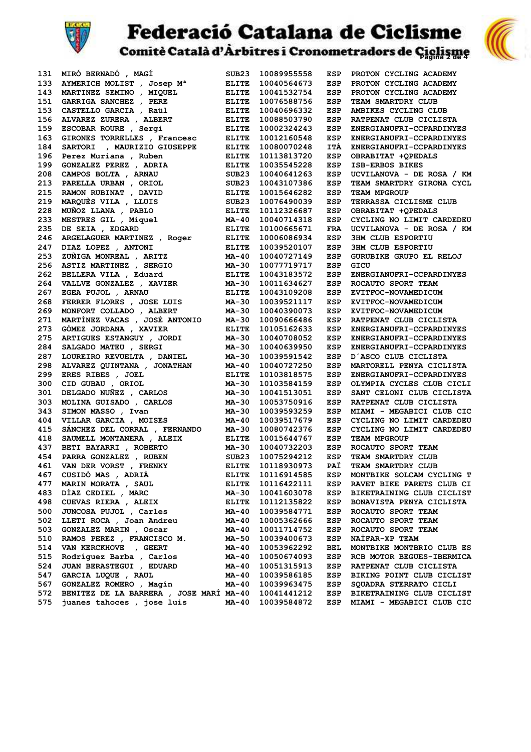

**Federació Catalana de Ciclisme**<br>
Comitè Català d'Àrbitres i Cronometradors de Giglisme

| 131 | MIRO BERNADO, MAGI                                                                    | SUB <sub>23</sub>       | 10089955558                | ESP                      | PROTON CYCLING ACADEMY    |
|-----|---------------------------------------------------------------------------------------|-------------------------|----------------------------|--------------------------|---------------------------|
| 133 | AYMERICH MOLIST, Josep M <sup>a</sup>                                                 | <b>ELITE</b>            | 10040564673                | ESP                      | PROTON CYCLING ACADEMY    |
| 143 | <b>MARTINEZ SEMINO , MIQUEL<br/>GARRIGA SANCHEZ , PERE<br/>CASTELLO GARCIA , Raül</b> | <b>ELITE</b>            | 10041532754                | ESP                      | PROTON CYCLING ACADEMY    |
| 151 |                                                                                       | <b>ELITE</b>            | 10076588756                | ESP                      | TEAM SMARTDRY CLUB        |
| 153 |                                                                                       | <b>ELITE</b>            | 10040696332                | ESP                      | AMBIKES CYCLING CLUB      |
| 156 | ALVAREZ ZURERA , ALBERT                                                               | <b>ELITE</b>            | 10088503790                | ESP                      | RATPENAT CLUB CICLISTA    |
| 159 | ESCOBAR ROURE , Sergi                                                                 | <b>ELITE</b>            | 10002324243                | ESP                      | ENERGIANUFRI-CCPARDINYES  |
| 163 | GIRONES TORRELLES, Francesc                                                           | <b>ELITE</b>            | 10012160548                | <b>ESP</b>               | ENERGIANUFRI-CCPARDINYES  |
| 184 | SARTORI , MAURIZIO GIUSEPPE                                                           | <b>ELITE</b>            | 10080070248                | <b>ITÀ</b>               | ENERGIANUFRI-CCPARDINYES  |
| 196 | Perez Muriana , Ruben                                                                 | <b>ELITE</b>            | 10113813720                | <b>ESP</b>               | OBRABITAT +QPEDALS        |
| 199 |                                                                                       | <b>ELITE</b>            | 10035545228                | ESP                      | ISB-ERBOS BIKES           |
| 208 | GONZALEZ PEREZ , ADRIA<br>CAMPOS BOLTA , ARNAU<br>PARELLA UPPAN                       | SUB <sub>23</sub>       | 10040641263                | ESP                      | UCVILANOVA - DE ROSA / KM |
| 213 | PARELLA URBAN , ORIOL                                                                 | SUB <sub>23</sub>       | 10043107386                | ESP                      | TEAM SMARTDRY GIRONA CYCL |
| 215 |                                                                                       | <b>ELITE</b>            | 10015646282                | ESP                      | TEAM MPGROUP              |
| 219 | RAMON RUBINAT , DAVID<br>MARQUÈS VILA , LLUIS                                         | SUB23                   | 10076490039                | <b>ESP</b>               | TERRASSA CICLISME CLUB    |
| 228 | MUÑOZ LLANA , PABLO                                                                   | <b>ELITE</b>            | 10112326687                | ESP                      | OBRABITAT +QPEDALS        |
| 233 | MESTRES GIL , Miquel                                                                  | MA-40                   | 10040714318                | ESP                      | CYCLING NO LIMIT CARDEDEU |
| 235 | DE SEIA , EDGARD                                                                      | <b>ELITE</b>            | 10100665671                | <b>FRA</b>               | UCVILANOVA - DE ROSA / KM |
| 246 | ARGELAGUER MARTINEZ , Roger                                                           | <b>ELITE</b>            | 10006086934                | <b>ESP</b>               | <b>3HM CLUB ESPORTIU</b>  |
| 247 |                                                                                       | <b>ELITE</b>            | 10039520107                | <b>ESP</b>               | <b>3HM CLUB ESPORTIU</b>  |
| 253 | <b>DIAZ DOPEZ , ANTONI<br/>ZUÑIGA MONREAL , ARITZ<br/>ASTIT :---</b> -                | MA-40                   | 10040727149                | ESP                      | GURUBIKE GRUPO EL RELOJ   |
| 256 | ASTIZ MARTINEZ , SERGIO                                                               | <b>MA-30</b>            | 10077719717                | ESP                      | GICU                      |
| 262 | BELLERA VILA, Eduard                                                                  | <b>ELITE</b>            | 10043183572                | ESP                      | ENERGIANUFRI-CCPARDINYES  |
| 264 | VALLVE GONZALEZ , XAVIER                                                              | <b>MA-30</b>            | 10011634627                | <b>ESP</b>               | ROCAUTO SPORT TEAM        |
| 267 | EGEA PUJOL , ARNAU                                                                    | <b>ELITE</b>            | 10043109208                | <b>ESP</b>               | EVITFOC-NOVAMEDICUM       |
| 268 | FERRER FLORES, JOSE LUIS                                                              | <b>MA-30</b>            | 10039521117                | ESP                      | EVITFOC-NOVAMEDICUM       |
| 269 | MONFORT COLLADO , ALBERT                                                              | MA-30                   | 10040390073                | ESP                      | EVITFOC-NOVAMEDICUM       |
| 271 | MARTÍNEZ VACAS , JOSÉ ANTONIO                                                         | MA-30                   | 10090666486                | ESP                      | RATPENAT CLUB CICLISTA    |
| 273 | GÓMEZ JORDANA , XAVIER                                                                | <b>ELITE</b>            | 10105162633                | <b>ESP</b>               | ENERGIANUFRI-CCPARDINYES  |
| 275 | ARTIGUES ESTANGUY , JORDI                                                             | <b>MA-30</b>            | 10040708052                | <b>ESP</b>               | ENERGIANUFRI-CCPARDINYES  |
| 284 | SALGADO MATEU , SERGI                                                                 | MA-30                   | 10040639950                | ESP                      | ENERGIANUFRI-CCPARDINYES  |
| 287 | LOUREIRO REVUELTA, DANIEL                                                             | MA-30                   | 10039591542                | ESP                      | D'ASCO CLUB CICLISTA      |
| 298 | ALVAREZ QUINTANA , JONATHAN                                                           | MA-40                   | 10040727250                | ESP                      | MARTORELL PENYA CICLISTA  |
| 299 | ERES RIBES , JOEL                                                                     | <b>ELITE</b>            | 10103818575                | ESP                      | ENERGIANUFRI-CCPARDINYES  |
| 300 | CID GUBAU , ORIOL                                                                     | <b>MA-30</b>            | 10103584159                | <b>ESP</b>               | OLYMPIA CYCLES CLUB CICLI |
| 301 | DELGADO NUÑEZ , CARLOS                                                                | <b>MA-30</b>            | 10041513051                | <b>ESP</b>               | SANT CELONI CLUB CICLISTA |
| 303 | MOLINA GUISADO, CARLOS                                                                | MA-30                   |                            | <b>ESP</b>               |                           |
|     |                                                                                       |                         | 10053750916                |                          | RATPENAT CLUB CICLISTA    |
| 343 | SIMON MASSO, Ivan                                                                     | MA-30                   | 10039593259<br>10039517679 | <b>ESP</b><br><b>ESP</b> | MIAMI - MEGABICI CLUB CIC |
| 404 | VILLAR GARCIA , MOISES<br>SÁNCHEZ DEL CORRAL , FERNANDO                               | MA-40                   |                            |                          | CYCLING NO LIMIT CARDEDEU |
| 415 |                                                                                       | MA-30                   | 10080742376                | ESP                      | CYCLING NO LIMIT CARDEDEU |
| 418 | SAUMELL MONTANERA , ALEIX                                                             | <b>ELITE</b><br>$MA-30$ | 10015644767                | <b>ESP</b>               | TEAM MPGROUP              |
| 437 | BETI BAYARRI , ROBERTO                                                                |                         | 10040732203                | ESP                      | ROCAUTO SPORT TEAM        |
| 454 | <b>PARRA GONZALEZ , RUBEN<br/>VAN DER VORST , FRENKY</b>                              | SUB23                   | 10075294212                | ESP                      | TEAM SMARTDRY CLUB        |
| 461 |                                                                                       | <b>ELITE</b>            | 10118930973                | PAÏ                      | TEAM SMARTDRY CLUB        |
| 467 | CUSIDÓ MAS , ADRIÀ                                                                    | <b>ELITE</b>            | 10116914585                | ESP                      | MONTBIKE SOLCAM CYCLING T |
| 477 | <b>MARIN MORATA, SAUL</b>                                                             | <b>ELITE</b>            | 10116422111                | ESP                      | RAVET BIKE PARETS CLUB CI |
| 483 | DÍAZ CEDIEL, MARC                                                                     | MA-30                   | 10041603078                | ESP                      | BIKETRAINING CLUB CICLIST |
| 498 | CUEVAS RIERA , ALEIX                                                                  | <b>ELITE</b>            | 10112135822                | ESP                      | BONAVISTA PENYA CICLISTA  |
| 500 | JUNCOSA PUJOL , Carles                                                                | MA-40                   | 10039584771                | ESP                      | ROCAUTO SPORT TEAM        |
| 502 | LLETI ROCA , Joan Andreu                                                              | MA-40                   | 10005362666                | ESP                      | ROCAUTO SPORT TEAM        |
| 503 | GONZALEZ MARIN, Oscar                                                                 | MA-40                   | 10011714752                | ESP                      | ROCAUTO SPORT TEAM        |
| 510 | RAMOS PEREZ , FRANCISCO M.                                                            | MA-50                   | 10039400673                | ESP                      | NAIFAR-XP TEAM            |
| 514 | VAN KERCKHOVE , GEERT                                                                 | MA-40                   | 10053962292                | BEL                      | MONTBIKE MONTBRIO CLUB ES |
| 515 | Rodríquez Barba , Carlos                                                              | MA-40                   | 10050674093                | ESP                      | RCB MOTOR BEGUES-IBERMICA |
| 524 | JUAN BERASTEGUI , EDUARD                                                              | MA-40                   | 10051315913                | ESP                      | RATPENAT CLUB CICLISTA    |
| 547 | GARCIA LUQUE , RAUL                                                                   | $MA-40$                 | 10039586185                | ESP                      | BIKING POINT CLUB CICLIST |
| 567 | GONZALEZ ROMERO , Magín                                                               | <b>MA-40</b>            | 10039963475                | ESP                      | SQUADRA STERRATO CICLI    |
| 572 | BENITEZ DE LA BARRERA, JOSE MARÍ MA-40                                                |                         | 10041441212                | ESP                      | BIKETRAINING CLUB CICLIST |
| 575 | juanes tahoces, jose luis                                                             | MA-40                   | 10039584872                | ESP                      | MIAMI - MEGABICI CLUB CIC |

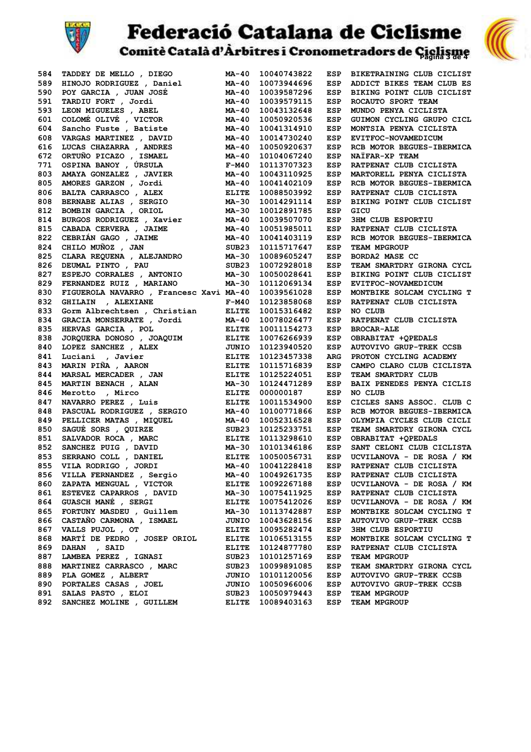

**Federació Catalana de Ciclisme**<br>comitè Català d'Arbitres i Cronometradors de Giglisme



| 584 | TADDEY DE MELLO, DIEGO                                                        | <b>MA-40</b>      | 10040743822 | ESP        | BIKETRAINING CLUB CICLIST      |
|-----|-------------------------------------------------------------------------------|-------------------|-------------|------------|--------------------------------|
| 589 | HINOJO RODRIGUEZ , Daniel                                                     | <b>MA-40</b>      | 10073944696 | <b>ESP</b> | ADDICT BIKES TEAM CLUB ES      |
| 590 | POY GARCIA , JUAN JOSÉ                                                        | MA-40             | 10039587296 | <b>ESP</b> | BIKING POINT CLUB CICLIST      |
| 591 | TARDIU FORT , Jordi                                                           | MA-40             | 10039579115 | ESP        | ROCAUTO SPORT TEAM             |
| 593 | TARDIU FORT , JOTAI<br>LEON MIGUELES , ABEL                                   | <b>MA-40</b>      | 10043132648 | <b>ESP</b> | MUNDO PENYA CICLISTA           |
| 601 | COLOMÉ OLIVÉ , VICTOR                                                         | MA-40             | 10050920536 | ESP        | GUIMON CYCLING GRUPO CICL      |
| 604 |                                                                               | MA-40             | 10041314910 | ESP        | MONTSIA PENYA CICLISTA         |
| 608 | Sancho Fuste , Batiste<br>VARGAS MARTINEZ , DAVID                             | MA-40             | 10014730240 | ESP        | EVITFOC-NOVAMEDICUM            |
| 616 | LUCAS CHAZARRA , ANDRES                                                       | MA-40             | 10050920637 | <b>ESP</b> | RCB MOTOR BEGUES-IBERMICA      |
| 672 |                                                                               | <b>MA-40</b>      | 10104067240 | ESP        | NAIFAR-XP TEAM                 |
| 771 | ORTUÑO PICAZO , ISMAEL<br>OSPINA BANOY , ÚRSULA                               | $F-M40$           | 10113707323 | ESP        | RATPENAT CLUB CICLISTA         |
| 803 | AMAYA GONZALEZ , JAVIER                                                       | MA-40             | 10043110925 | ESP        | MARTORELL PENYA CICLISTA       |
| 805 | AMORES GARZON, Jordi                                                          | MA-40             | 10041402109 | ESP        | RCB MOTOR BEGUES-IBERMICA      |
| 806 |                                                                               | <b>ELITE</b>      | 10088503992 | ESP        | RATPENAT CLUB CICLISTA         |
| 808 | <b>BALTA CARRASCO , ALEX<br/>BERNABE ALIAS , SERGIO</b>                       | MA-30             | 10014291114 | <b>ESP</b> | BIKING POINT CLUB CICLIST      |
| 812 | BOMBIN GARCIA , ORIOL                                                         | MA-30             | 10012891785 | ESP        | GICU                           |
| 814 |                                                                               | MA-40             | 10039507070 | ESP        | <b>3HM CLUB ESPORTIU</b>       |
| 815 | BURGOS RODRIGUEZ , Xavier<br>CABADA CERVERA , JAIME<br>CABADA CERVERA , JAIME | MA-40             | 10051985011 | ESP        | RATPENAT CLUB CICLISTA         |
| 822 | CEBRIÁN GAGO , JAIME                                                          | MA-40             | 10041403119 | <b>ESP</b> | RCB MOTOR BEGUES-IBERMICA      |
| 824 | CHILO MUÑOZ , JAN                                                             | SUB <sub>23</sub> | 10115717647 | <b>ESP</b> | TEAM MPGROUP                   |
| 825 | CLARA REQUENA , ALEJANDRO                                                     | MA-30             | 10089605247 | ESP        | BORDA2 MASE CC                 |
| 826 | DEUMAL PINTO , PAU                                                            | SUB23             | 10072928018 | ESP        | TEAM SMARTDRY GIRONA CYCL      |
| 827 | ESPEJO CORRALES , ANTONIO                                                     | MA-30             | 10050028641 | ESP        | BIKING POINT CLUB CICLIST      |
| 829 | FERNANDEZ RUIZ , MARIANO                                                      | MA-30             | 10112069134 | ESP        | EVITFOC-NOVAMEDICUM            |
| 830 | FIGUEROLA NAVARRO , Francesc Xavi MA-40                                       |                   | 10039561028 | <b>ESP</b> | MONTBIKE SOLCAM CYCLING T      |
| 832 | GHILAIN , ALEXIANE                                                            | $F-M40$           | 10123858068 | ESP        | RATPENAT CLUB CICLISTA         |
| 833 | Gorm Albrechtsen, Christian                                                   | <b>ELITE</b>      | 10015316482 | ESP        | NO CLUB                        |
| 834 | GRACIA MONSERRATE , Jordi                                                     | MA-40             | 10078026477 | ESP        | RATPENAT CLUB CICLISTA         |
| 835 | HERVAS GARCIA , POL                                                           | ELITE             | 10011154273 | <b>ESP</b> | <b>BROCAR-ALE</b>              |
| 838 |                                                                               | ELITE             | 10076266939 | ESP        | OBRABITAT +QPEDALS             |
| 840 |                                                                               | JUNIO             | 10123940520 | ESP        | <b>AUTOVIVO GRUP-TREK CCSB</b> |
| 841 | JORQUERA DUNUSU ,<br>LOPEZ SANCHEZ , ALEX<br>Tavier                           | ELITE             | 10123457338 | <b>ARG</b> | PROTON CYCLING ACADEMY         |
| 843 | MARIN PIÑA , AARON                                                            | <b>ELITE</b>      | 10115716839 | ESP        | CAMPO CLARO CLUB CICLISTA      |
| 844 | MARSAL MERCADER, JAN                                                          | <b>ELITE</b>      | 10125224051 | ESP        | TEAM SMARTDRY CLUB             |
| 845 | MARTIN BENACH, ALAN                                                           | <b>MA-30</b>      | 10124471289 | <b>ESP</b> | BAIX PENEDES PENYA CICLIS      |
| 846 |                                                                               | ELITE             | 000000187   | ESP        | NO CLUB                        |
| 847 | Merotto , Mirco<br>NAVARRO PEREZ, Luis                                        | ELITE             |             | ESP        |                                |
|     |                                                                               |                   | 10011534900 |            | CICLES SANS ASSOC. CLUB C      |
| 848 | PASCUAL RODRIGUEZ, SERGIO                                                     | MA-40             | 10100771866 | ESP        | RCB MOTOR BEGUES-IBERMICA      |
| 849 | PELLICER MATAS , MIQUEL                                                       | MA-40             | 10052316528 | ESP        | OLYMPIA CYCLES CLUB CICLI      |
| 850 | SAGUÉ SORS , QUIRZE                                                           | SUB <sub>23</sub> | 10125233751 | ESP        | TEAM SMARTDRY GIRONA CYCL      |
| 851 | SALVADOR ROCA, MARC<br>SANCHEZ PUIG, DAVID                                    | <b>ELITE</b>      | 10113298610 | ESP        | OBRABITAT +OPEDALS             |
| 852 |                                                                               | <b>MA-30</b>      | 10101346186 | ESP        | SANT CELONI CLUB CICLISTA      |
| 853 |                                                                               |                   | 10050056731 | ESP        | UCVILANOVA - DE ROSA / KM      |
| 855 | VILA RODRIGO , JORDI                                                          |                   | 10041228418 | <b>ESP</b> | RATPENAT CLUB CICLISTA         |
| 856 | VILLA FERNANDEZ , Sergio                                                      | MA-40             | 10049261735 | ESP        | RATPENAT CLUB CICLISTA         |
| 860 | ZAPATA MENGUAL , VICTOR                                                       | <b>ELITE</b>      | 10092267188 | ESP        | UCVILANOVA - DE ROSA / KM      |
| 861 | ESTEVEZ CAPARROS, DAVID                                                       | MA-30             | 10075411925 | ESP        | RATPENAT CLUB CICLISTA         |
| 864 | GUASCH MANÉ , SERGI                                                           | <b>ELITE</b>      | 10075412026 | ESP        | UCVILANOVA - DE ROSA / KM      |
| 865 | FORTUNY MASDEU , Guillem                                                      | MA-30             | 10113742887 | ESP        | MONTBIKE SOLCAM CYCLING T      |
| 866 | CASTAÑO CARMONA , ISMAEL                                                      | JUNIO             | 10043628156 | ESP        | AUTOVIVO GRUP-TREK CCSB        |
| 867 | VALLS PUJOL , OT                                                              | <b>ELITE</b>      | 10095282474 | ESP        | <b>3HM CLUB ESPORTIU</b>       |
| 868 | MARTÍ DE PEDRO, JOSEP ORIOL                                                   | <b>ELITE</b>      | 10106513155 | ESP        | MONTBIKE SOLCAM CYCLING T      |
| 869 | DAHAN , SAID                                                                  | <b>ELITE</b>      | 10124877780 | ESP        | RATPENAT CLUB CICLISTA         |
| 887 | LAMBEA PEREZ , IGNASI                                                         | SUB23             | 10101257169 | ESP        | <b>TEAM MPGROUP</b>            |
| 888 | MARTINEZ CARRASCO, MARC                                                       | SUB23             | 10099891085 | ESP        | TEAM SMARTDRY GIRONA CYCL      |
| 889 | PLA GOMEZ , ALBERT                                                            | <b>JUNIO</b>      | 10101120056 | ESP        | <b>AUTOVIVO GRUP-TREK CCSB</b> |
| 890 | PORTALES CASAS , JOEL                                                         | <b>JUNIO</b>      | 10050966006 | ESP        | <b>AUTOVIVO GRUP-TREK CCSB</b> |
| 891 | SALAS PASTO , ELOI                                                            | SUB23             | 10050979443 | ESP        | TEAM MPGROUP                   |
| 892 | SANCHEZ MOLINE , GUILLEM                                                      | <b>ELITE</b>      | 10089403163 | ESP        | TEAM MPGROUP                   |